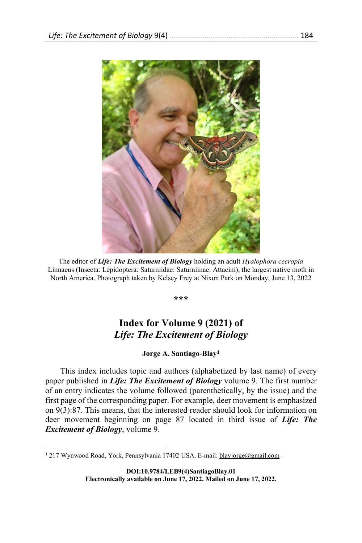

The editor of *Life: The Excitement of Biology* holding an adult *Hyalophora cecropia* Linnaeus (Insecta: Lepidoptera: Saturniidae: Saturniinae: Attacini), the largest native moth in North America. Photograph taken by Kelsey Frey at Nixon Park on Monday, June 13, 2022

**\*\*\***

## **Index for Volume 9 (2021) of**  *Life: The Excitement of Biology*

**Jorge A. Santiago-Blay[1](#page-0-0)**

This index includes topic and authors (alphabetized by last name) of every paper published in *Life: The Excitement of Biology* volume 9. The first number of an entry indicates the volume followed (parenthetically, by the issue) and the first page of the corresponding paper. For example, deer movement is emphasized on 9(3):87. This means, that the interested reader should look for information on deer movement beginning on page 87 located in third issue of *Life: The Excitement of Biology*, volume 9.

**DOI:10.9784/LEB9(4)SantiagoBlay.01 Electronically available on June 17, 2022. Mailed on June 17, 2022.**

<span id="page-0-0"></span><sup>&</sup>lt;sup>1</sup> 217 Wynwood Road, York, Pennsylvania 17402 USA. E-mail: blayjorge@gmail.com.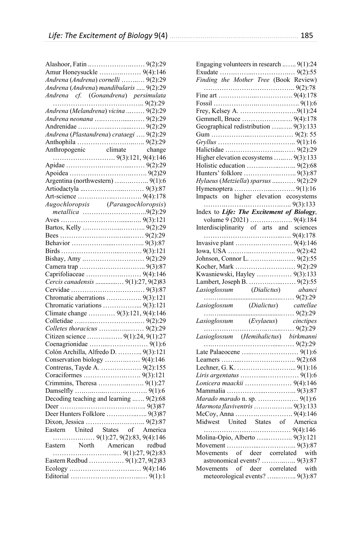| Amur Honeysuckle  9(4):146                              |  |
|---------------------------------------------------------|--|
| Andrena (Andrena) cornelli $9(2):29$                    |  |
| Andrena (Andrena) mandibularis  9(2):29                 |  |
|                                                         |  |
|                                                         |  |
| Andrena (Melandrena) vicina  9(2):29                    |  |
| Andrena neonana  9(2):29                                |  |
|                                                         |  |
| Andrena (Plastandrena) crataegi  9(2):29                |  |
|                                                         |  |
|                                                         |  |
|                                                         |  |
|                                                         |  |
|                                                         |  |
|                                                         |  |
|                                                         |  |
|                                                         |  |
|                                                         |  |
| Augochloropsis (Paraugochloropsis)<br>metallica 9(2):29 |  |
|                                                         |  |
|                                                         |  |
|                                                         |  |
|                                                         |  |
|                                                         |  |
|                                                         |  |
|                                                         |  |
|                                                         |  |
|                                                         |  |
| Cercis canadensis  9(1):27, 9(2)83                      |  |
|                                                         |  |
| Chromatic aberrations  9(3):121                         |  |
| Chromatic variations  9(3):121                          |  |
| Climate change  9(3):121, 9(4):146                      |  |
|                                                         |  |
|                                                         |  |
|                                                         |  |
|                                                         |  |
| Colón Archilla, Alfredo D.  9(3):121                    |  |
| Conservation biology  9(4):146                          |  |
| Contreras, Tayde A.  9(2):155                           |  |
|                                                         |  |
|                                                         |  |
|                                                         |  |
|                                                         |  |
|                                                         |  |
|                                                         |  |
| Deer Hunters Folklore  9(3)87                           |  |
|                                                         |  |
| Eastern United States of America                        |  |
|                                                         |  |
|                                                         |  |
|                                                         |  |
| Eastern Redbud $9(1):27,9(2)83$                         |  |
|                                                         |  |
|                                                         |  |
|                                                         |  |

| Engaging volunteers in research  9(1):24                                                                                                                      |  |
|---------------------------------------------------------------------------------------------------------------------------------------------------------------|--|
|                                                                                                                                                               |  |
|                                                                                                                                                               |  |
| Finding the Mother Tree (Book Review)                                                                                                                         |  |
|                                                                                                                                                               |  |
|                                                                                                                                                               |  |
|                                                                                                                                                               |  |
| Frey, Kelsey A. 9(1):24                                                                                                                                       |  |
|                                                                                                                                                               |  |
| Geographical redistribution  9(3):133                                                                                                                         |  |
|                                                                                                                                                               |  |
|                                                                                                                                                               |  |
|                                                                                                                                                               |  |
| Higher elevation ecosystems  9(3):133                                                                                                                         |  |
|                                                                                                                                                               |  |
|                                                                                                                                                               |  |
| Hylaeus (Metziella) sparsus  9(2):29                                                                                                                          |  |
|                                                                                                                                                               |  |
|                                                                                                                                                               |  |
|                                                                                                                                                               |  |
|                                                                                                                                                               |  |
| Index to Life: The Excitement of Biology,                                                                                                                     |  |
|                                                                                                                                                               |  |
|                                                                                                                                                               |  |
|                                                                                                                                                               |  |
|                                                                                                                                                               |  |
|                                                                                                                                                               |  |
|                                                                                                                                                               |  |
|                                                                                                                                                               |  |
|                                                                                                                                                               |  |
|                                                                                                                                                               |  |
| Kwasniewski, Hayley  9(3):133                                                                                                                                 |  |
|                                                                                                                                                               |  |
|                                                                                                                                                               |  |
|                                                                                                                                                               |  |
|                                                                                                                                                               |  |
| Lainvert, Joseph D. Allictus) abanci<br>Lasioglossum (Dialictus) abanci<br>Assioglossum (Dialictus) cattellae<br>Assioglossum (Dialictus) cattellae<br>(2):29 |  |
|                                                                                                                                                               |  |
|                                                                                                                                                               |  |
|                                                                                                                                                               |  |
| $\frac{Lasioglossum}{(Hemihalictus)}$ birkmanni                                                                                                               |  |
|                                                                                                                                                               |  |
|                                                                                                                                                               |  |
|                                                                                                                                                               |  |
|                                                                                                                                                               |  |
| Lonicera maackii  9(4):146                                                                                                                                    |  |
|                                                                                                                                                               |  |
| Marado marado n. sp.  9(1):6                                                                                                                                  |  |
| Marmota flaviventris  9(3):133                                                                                                                                |  |
|                                                                                                                                                               |  |
|                                                                                                                                                               |  |
|                                                                                                                                                               |  |
| Molina-Opio, Alberto  9(3):121                                                                                                                                |  |
|                                                                                                                                                               |  |
|                                                                                                                                                               |  |
|                                                                                                                                                               |  |
| Movements of deer correlated with<br>meteorological events?  9(3):87                                                                                          |  |